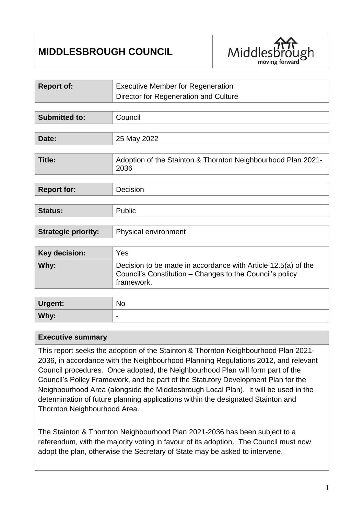# **MIDDLESBROUGH COUNCIL**



| <b>Report of:</b>          | <b>Executive Member for Regeneration</b>                                                                                                |  |
|----------------------------|-----------------------------------------------------------------------------------------------------------------------------------------|--|
|                            | Director for Regeneration and Culture                                                                                                   |  |
|                            |                                                                                                                                         |  |
| <b>Submitted to:</b>       | Council                                                                                                                                 |  |
|                            |                                                                                                                                         |  |
| Date:                      | 25 May 2022                                                                                                                             |  |
|                            |                                                                                                                                         |  |
| <b>Title:</b>              | Adoption of the Stainton & Thornton Neighbourhood Plan 2021-<br>2036                                                                    |  |
|                            |                                                                                                                                         |  |
| <b>Report for:</b>         | Decision                                                                                                                                |  |
|                            |                                                                                                                                         |  |
| <b>Status:</b>             | Public                                                                                                                                  |  |
|                            |                                                                                                                                         |  |
| <b>Strategic priority:</b> | Physical environment                                                                                                                    |  |
|                            |                                                                                                                                         |  |
| <b>Key decision:</b>       | Yes                                                                                                                                     |  |
| Why:                       | Decision to be made in accordance with Article 12.5(a) of the<br>Council's Constitution – Changes to the Council's policy<br>framework. |  |
|                            |                                                                                                                                         |  |
| <b>Urgent:</b>             | <b>No</b>                                                                                                                               |  |

#### **Executive summary**

Why:

This report seeks the adoption of the Stainton & Thornton Neighbourhood Plan 2021- 2036, in accordance with the Neighbourhood Planning Regulations 2012, and relevant Council procedures. Once adopted, the Neighbourhood Plan will form part of the Council's Policy Framework, and be part of the Statutory Development Plan for the Neighbourhood Area (alongside the Middlesbrough Local Plan). It will be used in the determination of future planning applications within the designated Stainton and Thornton Neighbourhood Area.

The Stainton & Thornton Neighbourhood Plan 2021-2036 has been subject to a referendum, with the majority voting in favour of its adoption. The Council must now adopt the plan, otherwise the Secretary of State may be asked to intervene.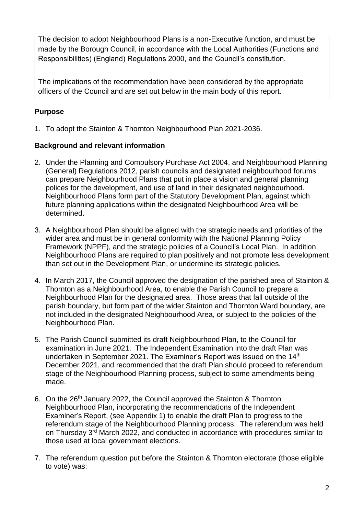The decision to adopt Neighbourhood Plans is a non-Executive function, and must be made by the Borough Council, in accordance with the Local Authorities (Functions and Responsibilities) (England) Regulations 2000, and the Council's constitution.

The implications of the recommendation have been considered by the appropriate officers of the Council and are set out below in the main body of this report.

## **Purpose**

1. To adopt the Stainton & Thornton Neighbourhood Plan 2021-2036.

## **Background and relevant information**

- 2. Under the Planning and Compulsory Purchase Act 2004, and Neighbourhood Planning (General) Regulations 2012, parish councils and designated neighbourhood forums can prepare Neighbourhood Plans that put in place a vision and general planning polices for the development, and use of land in their designated neighbourhood. Neighbourhood Plans form part of the Statutory Development Plan, against which future planning applications within the designated Neighbourhood Area will be determined.
- 3. A Neighbourhood Plan should be aligned with the strategic needs and priorities of the wider area and must be in general conformity with the National Planning Policy Framework (NPPF), and the strategic policies of a Council's Local Plan. In addition, Neighbourhood Plans are required to plan positively and not promote less development than set out in the Development Plan, or undermine its strategic policies.
- 4. In March 2017, the Council approved the designation of the parished area of Stainton & Thornton as a Neighbourhood Area, to enable the Parish Council to prepare a Neighbourhood Plan for the designated area. Those areas that fall outside of the parish boundary, but form part of the wider Stainton and Thornton Ward boundary, are not included in the designated Neighbourhood Area, or subject to the policies of the Neighbourhood Plan.
- 5. The Parish Council submitted its draft Neighbourhood Plan, to the Council for examination in June 2021. The Independent Examination into the draft Plan was undertaken in September 2021. The Examiner's Report was issued on the 14<sup>th</sup> December 2021, and recommended that the draft Plan should proceed to referendum stage of the Neighbourhood Planning process, subject to some amendments being made.
- 6. On the 26<sup>th</sup> January 2022, the Council approved the Stainton & Thornton Neighbourhood Plan, incorporating the recommendations of the Independent Examiner's Report, (see Appendix 1) to enable the draft Plan to progress to the referendum stage of the Neighbourhood Planning process. The referendum was held on Thursday 3rd March 2022, and conducted in accordance with procedures similar to those used at local government elections.
- 7. The referendum question put before the Stainton & Thornton electorate (those eligible to vote) was: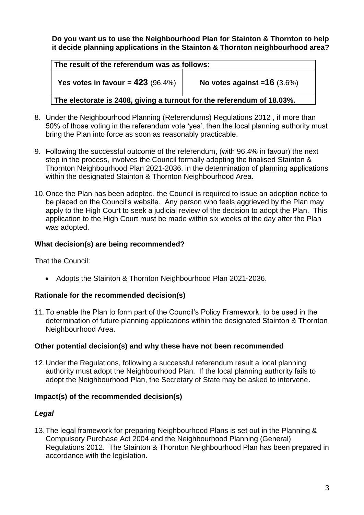**Do you want us to use the Neighbourhood Plan for Stainton & Thornton to help it decide planning applications in the Stainton & Thornton neighbourhood area?**

| The result of the referendum was as follows:                           |                                |  |  |
|------------------------------------------------------------------------|--------------------------------|--|--|
| Yes votes in favour = $423$ (96.4%)                                    | No votes against = $16$ (3.6%) |  |  |
| The electorate is 2408, giving a turnout for the referendum of 18.03%. |                                |  |  |

- 8. Under the Neighbourhood Planning (Referendums) Regulations 2012 , if more than 50% of those voting in the referendum vote 'yes', then the local planning authority must bring the Plan into force as soon as reasonably practicable.
- 9. Following the successful outcome of the referendum, (with 96.4% in favour) the next step in the process, involves the Council formally adopting the finalised Stainton & Thornton Neighbourhood Plan 2021-2036, in the determination of planning applications within the designated Stainton & Thornton Neighbourhood Area.
- 10.Once the Plan has been adopted, the Council is required to issue an adoption notice to be placed on the Council's website. Any person who feels aggrieved by the Plan may apply to the High Court to seek a judicial review of the decision to adopt the Plan. This application to the High Court must be made within six weeks of the day after the Plan was adopted.

#### **What decision(s) are being recommended?**

That the Council:

• Adopts the Stainton & Thornton Neighbourhood Plan 2021-2036.

#### **Rationale for the recommended decision(s)**

11.To enable the Plan to form part of the Council's Policy Framework, to be used in the determination of future planning applications within the designated Stainton & Thornton Neighbourhood Area.

#### **Other potential decision(s) and why these have not been recommended**

12.Under the Regulations, following a successful referendum result a local planning authority must adopt the Neighbourhood Plan. If the local planning authority fails to adopt the Neighbourhood Plan, the Secretary of State may be asked to intervene.

## **Impact(s) of the recommended decision(s)**

#### *Legal*

13.The legal framework for preparing Neighbourhood Plans is set out in the Planning & Compulsory Purchase Act 2004 and the Neighbourhood Planning (General) Regulations 2012. The Stainton & Thornton Neighbourhood Plan has been prepared in accordance with the legislation.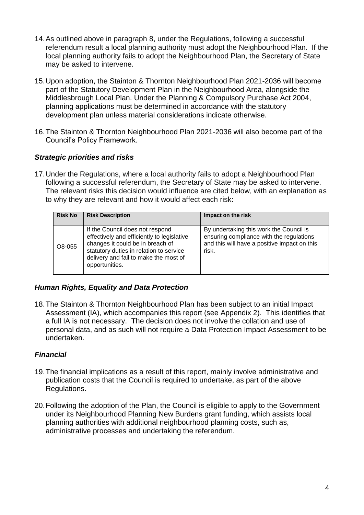- 14.As outlined above in paragraph 8, under the Regulations, following a successful referendum result a local planning authority must adopt the Neighbourhood Plan. If the local planning authority fails to adopt the Neighbourhood Plan, the Secretary of State may be asked to intervene.
- 15.Upon adoption, the Stainton & Thornton Neighbourhood Plan 2021-2036 will become part of the Statutory Development Plan in the Neighbourhood Area, alongside the Middlesbrough Local Plan. Under the Planning & Compulsory Purchase Act 2004, planning applications must be determined in accordance with the statutory development plan unless material considerations indicate otherwise.
- 16.The Stainton & Thornton Neighbourhood Plan 2021-2036 will also become part of the Council's Policy Framework.

## *Strategic priorities and risks*

17.Under the Regulations, where a local authority fails to adopt a Neighbourhood Plan following a successful referendum, the Secretary of State may be asked to intervene. The relevant risks this decision would influence are cited below, with an explanation as to why they are relevant and how it would affect each risk:

| <b>Risk No</b> | <b>Risk Description</b>                                                                                                                                                                                                 | Impact on the risk                                                                                                                           |
|----------------|-------------------------------------------------------------------------------------------------------------------------------------------------------------------------------------------------------------------------|----------------------------------------------------------------------------------------------------------------------------------------------|
| O8-055         | If the Council does not respond<br>effectively and efficiently to legislative<br>changes it could be in breach of<br>statutory duties in relation to service<br>delivery and fail to make the most of<br>opportunities. | By undertaking this work the Council is<br>ensuring compliance with the regulations<br>and this will have a positive impact on this<br>risk. |

#### *Human Rights, Equality and Data Protection*

18.The Stainton & Thornton Neighbourhood Plan has been subject to an initial Impact Assessment (IA), which accompanies this report (see Appendix 2). This identifies that a full IA is not necessary. The decision does not involve the collation and use of personal data, and as such will not require a Data Protection Impact Assessment to be undertaken.

#### *Financial*

- 19.The financial implications as a result of this report, mainly involve administrative and publication costs that the Council is required to undertake, as part of the above Regulations.
- 20.Following the adoption of the Plan, the Council is eligible to apply to the Government under its Neighbourhood Planning New Burdens grant funding, which assists local planning authorities with additional neighbourhood planning costs, such as, administrative processes and undertaking the referendum.